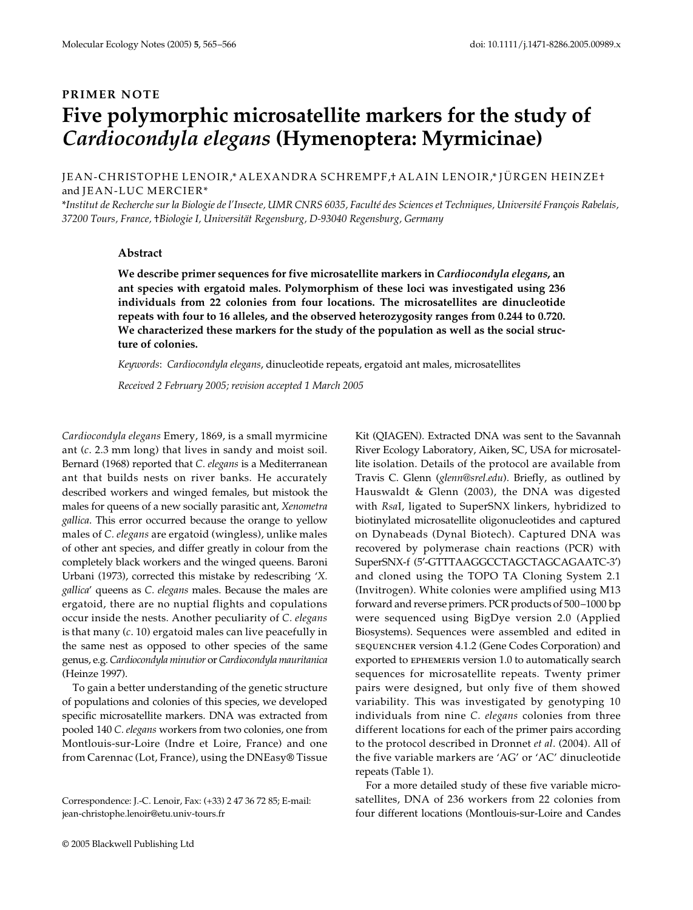## **PRIMER NOTE Five polymorphic microsatellite markers for the study of**  *Cardiocondyla elegans* **(Hymenoptera: Myrmicinae)**

JEAN-CHRISTOPHE LENOIR,\* ALEXANDRA SCHREMPF,† ALAIN LENOIR,\* JÜRGEN HEINZE† and JEAN-LUC MERCIER\*

\**Institut de Recherche sur la Biologie de l'Insecte, UMR CNRS 6035, Faculté des Sciences et Techniques, Université François Rabelais, 37200 Tours, France,* †*Biologie I, Universität Regensburg, D-93040 Regensburg, Germany* 

## **Abstract**

**We describe primer sequences for five microsatellite markers in** *Cardiocondyla elegans***, an ant species with ergatoid males. Polymorphism of these loci was investigated using 236 individuals from 22 colonies from four locations. The microsatellites are dinucleotide repeats with four to 16 alleles, and the observed heterozygosity ranges from 0.244 to 0.720. We characterized these markers for the study of the population as well as the social structure of colonies.**

*Keywords*: *Cardiocondyla elegans*, dinucleotide repeats, ergatoid ant males, microsatellites

*Received 2 February 2005; revision accepted 1 March 2005*

*Cardiocondyla elegans* Emery, 1869, is a small myrmicine ant (*c*. 2.3 mm long) that lives in sandy and moist soil. Bernard (1968) reported that *C. elegans* is a Mediterranean ant that builds nests on river banks. He accurately described workers and winged females, but mistook the males for queens of a new socially parasitic ant, *Xenometra gallica*. This error occurred because the orange to yellow males of *C. elegans* are ergatoid (wingless), unlike males of other ant species, and differ greatly in colour from the completely black workers and the winged queens. Baroni Urbani (1973), corrected this mistake by redescribing '*X. gallica*' queens as *C. elegans* males. Because the males are ergatoid, there are no nuptial flights and copulations occur inside the nests. Another peculiarity of *C. elegans* is that many (*c*. 10) ergatoid males can live peacefully in the same nest as opposed to other species of the same genus, e.g. *Cardiocondyla minutior* or *Cardiocondyla mauritanica* (Heinze 1997).

To gain a better understanding of the genetic structure of populations and colonies of this species, we developed specific microsatellite markers. DNA was extracted from pooled 140 *C. elegans* workers from two colonies, one from Montlouis-sur-Loire (Indre et Loire, France) and one from Carennac (Lot, France), using the DNEasy® Tissue

Correspondence: J.-C. Lenoir, Fax: (+33) 2 47 36 72 85; E-mail: jean-christophe.lenoir@etu.univ-tours.fr

Kit (QIAGEN). Extracted DNA was sent to the Savannah River Ecology Laboratory, Aiken, SC, USA for microsatellite isolation. Details of the protocol are available from Travis C. Glenn (*glenn@srel.edu*). Briefly, as outlined by Hauswaldt & Glenn (2003), the DNA was digested with *Rsa*I, ligated to SuperSNX linkers, hybridized to biotinylated microsatellite oligonucleotides and captured on Dynabeads (Dynal Biotech). Captured DNA was recovered by polymerase chain reactions (PCR) with SuperSNX-f (5′-GTTTAAGGCCTAGCTAGCAGAATC-3′) and cloned using the TOPO TA Cloning System 2.1 (Invitrogen). White colonies were amplified using M13 forward and reverse primers. PCR products of 500–1000 bp were sequenced using BigDye version 2.0 (Applied Biosystems). Sequences were assembled and edited in sequencher version 4.1.2 (Gene Codes Corporation) and exported to ephemeris version 1.0 to automatically search sequences for microsatellite repeats. Twenty primer pairs were designed, but only five of them showed variability. This was investigated by genotyping 10 individuals from nine *C. elegans* colonies from three different locations for each of the primer pairs according to the protocol described in Dronnet *et al*. (2004). All of the five variable markers are 'AG' or 'AC' dinucleotide repeats (Table 1).

For a more detailed study of these five variable microsatellites, DNA of 236 workers from 22 colonies from four different locations (Montlouis-sur-Loire and Candes